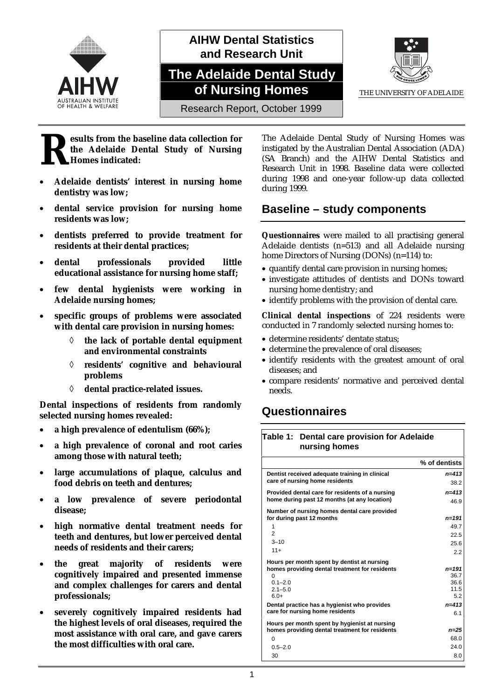

## **AIHW Dental Statistics and Research Unit**

# **The Adelaide Dental Study of Nursing Homes**



Research Report, October 1999

#### **esults from the baseline data collection for the Adelaide Dental Study of Nursing Homes indicated: R**

- **Adelaide dentists' interest in nursing home dentistry was low;**
- **dental service provision for nursing home residents was low;**
- **dentists preferred to provide treatment for residents at their dental practices;**
- **dental professionals provided little educational assistance for nursing home staff;**
- **few dental hygienists were working in Adelaide nursing homes;**
- **specific groups of problems were associated with dental care provision in nursing homes:**
	- ◊ **the lack of portable dental equipment and environmental constraints**
	- ◊ **residents' cognitive and behavioural problems**
	- ◊ **dental practice-related issues.**

**Dental inspections of residents from randomly selected nursing homes revealed:**

- **a high prevalence of edentulism (66%);**
- **a high prevalence of coronal and root caries among those with natural teeth;**
- **large accumulations of plaque, calculus and food debris on teeth and dentures;**
- **a low prevalence of severe periodontal disease;**
- **high normative dental treatment needs for teeth and dentures, but lower perceived dental needs of residents and their carers;**
- **the great majority of residents were cognitively impaired and presented immense and complex challenges for carers and dental professionals;**
- **severely cognitively impaired residents had the highest levels of oral diseases, required the most assistance with oral care, and gave carers the most difficulties with oral care.**

The Adelaide Dental Study of Nursing Homes was instigated by the Australian Dental Association (ADA) (SA Branch) and the AIHW Dental Statistics and Research Unit in 1998. Baseline data were collected during 1998 and one-year follow-up data collected during 1999.

#### **Baseline – study components**

**Questionnaires** were mailed to all practising general Adelaide dentists (n=513) and all Adelaide nursing home Directors of Nursing (DONs) (n=114) to:

- quantify dental care provision in nursing homes;
- investigate attitudes of dentists and DONs toward nursing home dentistry; and
- identify problems with the provision of dental care.

**Clinical dental inspections** of 224 residents were conducted in 7 randomly selected nursing homes to:

- determine residents' dentate status;
- determine the prevalence of oral diseases;
- identify residents with the greatest amount of oral diseases; and
- compare residents' normative and perceived dental needs.

#### **Questionnaires**

| Table 1: Dental care provision for Adelaide<br>nursing homes                                                                                      |                                                       |  |
|---------------------------------------------------------------------------------------------------------------------------------------------------|-------------------------------------------------------|--|
|                                                                                                                                                   | % of dentists                                         |  |
| Dentist received adequate training in clinical<br>care of nursing home residents                                                                  | $n = 413$<br>38.2                                     |  |
| Provided dental care for residents of a nursing<br>home during past 12 months (at any location)                                                   | $n = 413$<br>46.9                                     |  |
| Number of nursing homes dental care provided<br>for during past 12 months<br>1                                                                    | $n = 191$<br>49.7                                     |  |
| $\overline{2}$<br>$3 - 10$<br>$11+$                                                                                                               | 22.5<br>25.6<br>2.2                                   |  |
| Hours per month spent by dentist at nursing<br>homes providing dental treatment for residents<br>$\Omega$<br>$0.1 - 2.0$<br>$2.1 - 5.0$<br>$6.0+$ | $n = 191$<br>36.7<br>36.6<br>11.5<br>5.2<br>$n = 413$ |  |
| Dental practice has a hygienist who provides<br>care for nursing home residents                                                                   | 6.1                                                   |  |
| Hours per month spent by hygienist at nursing<br>homes providing dental treatment for residents<br>$\Omega$<br>$0.5 - 2.0$<br>30                  | $n = 25$<br>68.0<br>24.0<br>8.0                       |  |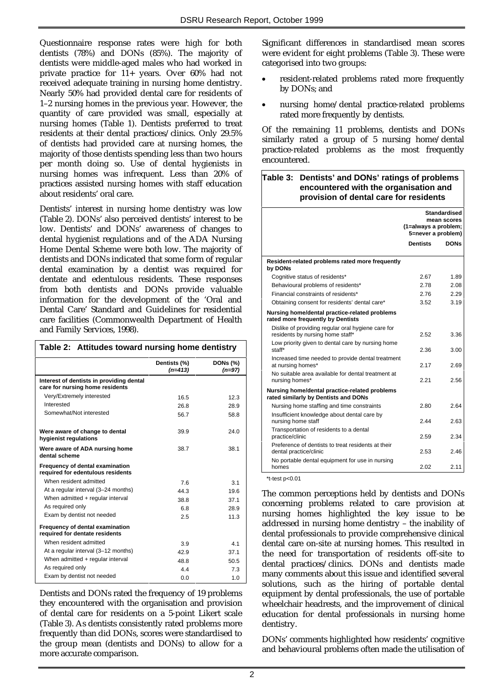Questionnaire response rates were high for both dentists (78%) and DONs (85%). The majority of dentists were middle-aged males who had worked in private practice for 11+ years. Over 60% had not received adequate training in nursing home dentistry. Nearly 50% had provided dental care for residents of 1–2 nursing homes in the previous year. However, the quantity of care provided was small, especially at nursing homes (Table 1). Dentists preferred to treat residents at their dental practices/clinics. Only 29.5% of dentists had provided care at nursing homes, the majority of those dentists spending less than two hours per month doing so. Use of dental hygienists in nursing homes was infrequent. Less than 20% of practices assisted nursing homes with staff education about residents' oral care.

Dentists' interest in nursing home dentistry was low (Table 2). DONs' also perceived dentists' interest to be low. Dentists' and DONs' awareness of changes to dental hygienist regulations and of the ADA Nursing Home Dental Scheme were both low. The majority of dentists and DONs indicated that some form of regular dental examination by a dentist was required for dentate and edentulous residents. These responses from both dentists and DONs provide valuable information for the development of the 'Oral and Dental Care' Standard and Guidelines for residential care facilities (Commonwealth Department of Health and Family Services, 1998).

| Table 2: Attitudes toward nursing home dentistry                            |                           |                             |  |
|-----------------------------------------------------------------------------|---------------------------|-----------------------------|--|
|                                                                             | Dentists (%)<br>$(n=413)$ | <b>DONs (%)</b><br>$(n=97)$ |  |
| Interest of dentists in providing dental<br>care for nursing home residents |                           |                             |  |
| Very/Extremely interested                                                   | 16.5                      | 12.3                        |  |
| Interested                                                                  | 26.8                      | 28.9                        |  |
| Somewhat/Not interested                                                     | 56.7                      | 58.8                        |  |
| Were aware of change to dental<br>hygienist regulations                     | 39.9                      | 24.0                        |  |
| Were aware of ADA nursing home<br>dental scheme                             | 38.7                      | 38.1                        |  |
| Frequency of dental examination<br>required for edentulous residents        |                           |                             |  |
| When resident admitted                                                      | 76                        | 3.1                         |  |
| At a regular interval (3-24 months)                                         | 44.3                      | 19.6                        |  |
| When admitted + regular interval                                            | 38.8                      | 37.1                        |  |
| As required only                                                            | 6.8                       | 28.9                        |  |
| Exam by dentist not needed                                                  | 2.5                       | 11.3                        |  |
| Frequency of dental examination<br>required for dentate residents           |                           |                             |  |
| When resident admitted                                                      | 3.9                       | 41                          |  |
| At a regular interval (3-12 months)                                         | 42.9                      | 37 <sub>1</sub>             |  |
| When admitted + regular interval                                            | 48.8                      | 50.5                        |  |
| As required only                                                            | 44                        | 73                          |  |
| Exam by dentist not needed                                                  | 0.0                       | 1.0                         |  |

Dentists and DONs rated the frequency of 19 problems they encountered with the organisation and provision of dental care for residents on a 5-point Likert scale (Table 3). As dentists consistently rated problems more frequently than did DONs, scores were standardised to the group mean (dentists and DONs) to allow for a more accurate comparison.

Significant differences in standardised mean scores were evident for eight problems (Table 3). These were categorised into two groups:

- resident-related problems rated more frequently by DONs; and
- nursing home/dental practice-related problems rated more frequently by dentists.

Of the remaining 11 problems, dentists and DONs similarly rated a group of 5 nursing home/dental practice-related problems as the most frequently encountered.

#### **Table 3: Dentists' and DONs' ratings of problems encountered with the organisation and provision of dental care for residents**

|                                                                                        | <b>Standardised</b><br>mean scores<br>(1=always a problem;<br>5=never a problem) |             |  |  |  |
|----------------------------------------------------------------------------------------|----------------------------------------------------------------------------------|-------------|--|--|--|
|                                                                                        | <b>Dentists</b>                                                                  | <b>DONs</b> |  |  |  |
| Resident-related problems rated more frequently<br>by DONs                             |                                                                                  |             |  |  |  |
| Cognitive status of residents*                                                         | 2.67                                                                             | 1.89        |  |  |  |
| Behavioural problems of residents*                                                     | 2.78                                                                             | 2.08        |  |  |  |
| Financial constraints of residents*                                                    | 2.76                                                                             | 2.29        |  |  |  |
| Obtaining consent for residents' dental care*                                          | 3.52                                                                             | 3.19        |  |  |  |
| Nursing home/dental practice-related problems<br>rated more frequently by Dentists     |                                                                                  |             |  |  |  |
| Dislike of providing regular oral hygiene care for<br>residents by nursing home staff* | 2.52                                                                             | 3.36        |  |  |  |
| Low priority given to dental care by nursing home<br>staff*                            | 2.36                                                                             | 3.00        |  |  |  |
| Increased time needed to provide dental treatment<br>at nursing homes*                 | 2 1 7                                                                            | 2.69        |  |  |  |
| No suitable area available for dental treatment at<br>nursing homes*                   | 2.21                                                                             | 2.56        |  |  |  |
| Nursing home/dental practice-related problems<br>rated similarly by Dentists and DONs  |                                                                                  |             |  |  |  |
| Nursing home staffing and time constraints                                             | 2.80                                                                             | 2.64        |  |  |  |
| Insufficient knowledge about dental care by<br>nursing home staff                      | 2.44                                                                             | 2.63        |  |  |  |
| Transportation of residents to a dental<br>practice/clinic                             | 2.59                                                                             | 2.34        |  |  |  |
| Preference of dentists to treat residents at their<br>dental practice/clinic           | 2.53                                                                             | 246         |  |  |  |
| No portable dental equipment for use in nursing<br>homes                               | 2.02                                                                             | 2.11        |  |  |  |

 $*$ t-test p< $0.01$ 

The common perceptions held by dentists and DONs concerning problems related to care provision at nursing homes highlighted the key issue to be addressed in nursing home dentistry – the inability of dental professionals to provide comprehensive clinical dental care on-site at nursing homes. This resulted in the need for transportation of residents off-site to dental practices/clinics. DONs and dentists made many comments about this issue and identified several solutions, such as the hiring of portable dental equipment by dental professionals, the use of portable wheelchair headrests, and the improvement of clinical education for dental professionals in nursing home dentistry.

DONs' comments highlighted how residents' cognitive and behavioural problems often made the utilisation of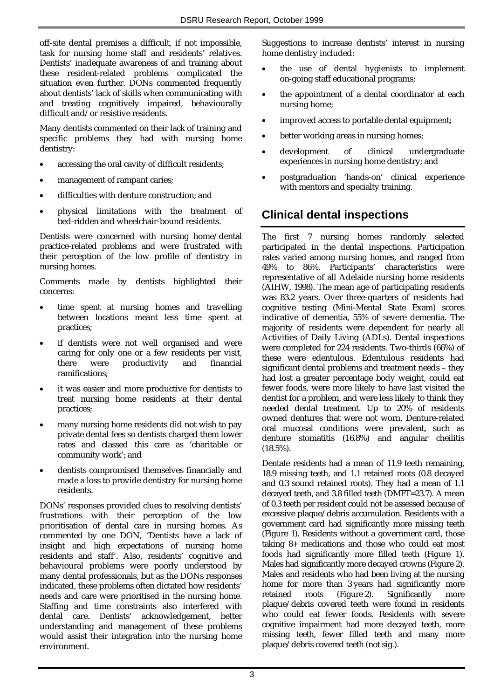off-site dental premises a difficult, if not impossible, task for nursing home staff and residents' relatives. Dentists' inadequate awareness of and training about these resident-related problems complicated the situation even further. DONs commented frequently about dentists' lack of skills when communicating with and treating cognitively impaired, behaviourally difficult and/or resistive residents.

Many dentists commented on their lack of training and specific problems they had with nursing home dentistry:

- accessing the oral cavity of difficult residents;
- management of rampant caries;
- difficulties with denture construction; and
- physical limitations with the treatment of bed-ridden and wheelchair-bound residents.

Dentists were concerned with nursing home/dental practice-related problems and were frustrated with their perception of the low profile of dentistry in nursing homes.

Comments made by dentists highlighted their concerns:

- time spent at nursing homes and travelling between locations meant less time spent at practices;
- if dentists were not well organised and were caring for only one or a few residents per visit, there were productivity and financial ramifications;
- it was easier and more productive for dentists to treat nursing home residents at their dental practices;
- many nursing home residents did not wish to pay private dental fees so dentists charged them lower rates and classed this care as 'charitable or community work'; and
- dentists compromised themselves financially and made a loss to provide dentistry for nursing home residents.

DONs' responses provided clues to resolving dentists' frustrations with their perception of the low prioritisation of dental care in nursing homes. As commented by one DON, 'Dentists have a lack of insight and high expectations of nursing home residents and staff'. Also, residents' cognitive and behavioural problems were poorly understood by many dental professionals, but as the DONs responses indicated, these problems often dictated how residents' needs and care were prioritised in the nursing home. Staffing and time constraints also interfered with dental care. Dentists' acknowledgement, better understanding and management of these problems would assist their integration into the nursing home environment.

Suggestions to increase dentists' interest in nursing home dentistry included:

- the use of dental hygienists to implement on-going staff educational programs;
- the appointment of a dental coordinator at each nursing home;
- improved access to portable dental equipment;
- better working areas in nursing homes;
- development of clinical undergraduate experiences in nursing home dentistry; and
- postgraduation 'hands-on' clinical experience with mentors and specialty training.

#### **Clinical dental inspections**

The first 7 nursing homes randomly selected participated in the dental inspections. Participation rates varied among nursing homes, and ranged from 49% to 86%. Participants' characteristics were representative of all Adelaide nursing home residents (AIHW, 1998). The mean age of participating residents was 83.2 years. Over three-quarters of residents had cognitive testing (Mini-Mental State Exam) scores indicative of dementia, 55% of severe dementia. The majority of residents were dependent for nearly all Activities of Daily Living (ADLs). Dental inspections were completed for 224 residents. Two-thirds (66%) of these were edentulous. Edentulous residents had significant dental problems and treatment needs – they had lost a greater percentage body weight, could eat fewer foods, were more likely to have last visited the dentist for a problem, and were less likely to think they needed dental treatment. Up to 20% of residents owned dentures that were not worn. Denture-related oral mucosal conditions were prevalent, such as denture stomatitis (16.8%) and angular cheilitis (18.5%).

Dentate residents had a mean of 11.9 teeth remaining, 18.9 missing teeth, and 1.1 retained roots (0.8 decayed and 0.3 sound retained roots). They had a mean of 1.1 decayed teeth, and 3.8 filled teeth (DMFT=23.7). A mean of 0.3 teeth per resident could not be assessed because of excessive plaque/debris accumulation. Residents with a government card had significantly more missing teeth (Figure 1). Residents without a government card, those taking 8+ medications and those who could eat most foods had significantly more filled teeth (Figure 1). Males had significantly more decayed crowns (Figure 2). Males and residents who had been living at the nursing home for more than 3 years had significantly more retained roots (Figure 2). Significantly more plaque/debris covered teeth were found in residents who could eat fewer foods. Residents with severe cognitive impairment had more decayed teeth, more missing teeth, fewer filled teeth and many more plaque/debris covered teeth (not sig.).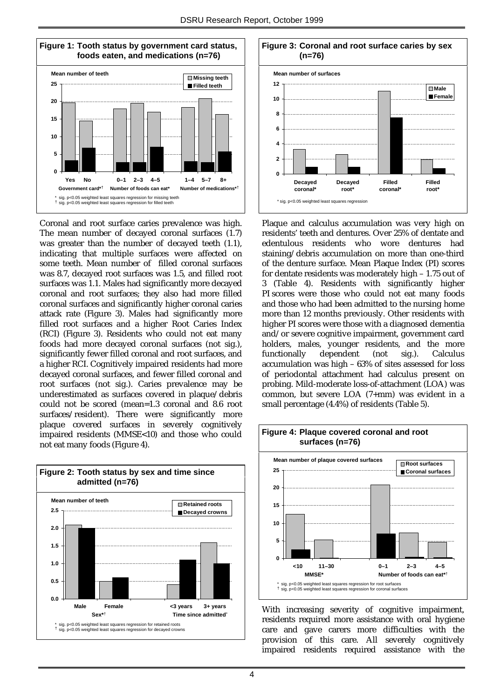

Coronal and root surface caries prevalence was high. The mean number of decayed coronal surfaces (1.7) was greater than the number of decayed teeth (1.1), indicating that multiple surfaces were affected on some teeth. Mean number of filled coronal surfaces was 8.7, decayed root surfaces was 1.5, and filled root surfaces was 1.1. Males had significantly more decayed coronal and root surfaces; they also had more filled coronal surfaces and significantly higher coronal caries attack rate (Figure 3). Males had significantly more filled root surfaces and a higher Root Caries Index (RCI) (Figure 3). Residents who could not eat many foods had more decayed coronal surfaces (not sig.), significantly fewer filled coronal and root surfaces, and a higher RCI. Cognitively impaired residents had more decayed coronal surfaces, and fewer filled coronal and root surfaces (not sig.). Caries prevalence may be underestimated as surfaces covered in plaque/debris could not be scored (mean=1.3 coronal and 8.6 root surfaces/resident). There were significantly more plaque covered surfaces in severely cognitively impaired residents (MMSE<10) and those who could not eat many foods (Figure 4).





Plaque and calculus accumulation was very high on residents' teeth and dentures. Over 25% of dentate and edentulous residents who wore dentures had staining/debris accumulation on more than one-third of the denture surface. Mean Plaque Index (PI) scores for dentate residents was moderately high – 1.75 out of 3 (Table 4). Residents with significantly higher PI scores were those who could not eat many foods and those who had been admitted to the nursing home more than 12 months previously. Other residents with higher PI scores were those with a diagnosed dementia and/or severe cognitive impairment, government card holders, males, younger residents, and the more functionally dependent (not sig.). Calculus accumulation was high – 63% of sites assessed for loss of periodontal attachment had calculus present on probing. Mild-moderate loss-of-attachment (LOA) was common, but severe LOA (7+mm) was evident in a small percentage (4.4%) of residents (Table 5).



With increasing severity of cognitive impairment, residents required more assistance with oral hygiene care and gave carers more difficulties with the provision of this care. All severely cognitively impaired residents required assistance with the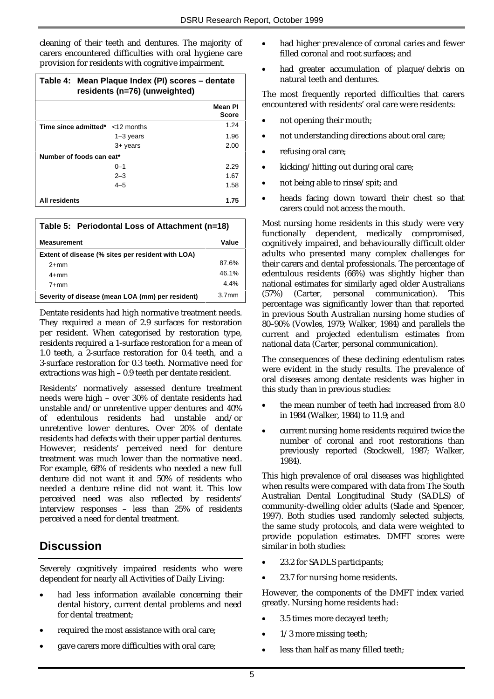cleaning of their teeth and dentures. The majority of carers encountered difficulties with oral hygiene care provision for residents with cognitive impairment.

| Table 4: Mean Plaque Index (PI) scores - dentate<br>residents (n=76) (unweighted) |             |                         |
|-----------------------------------------------------------------------------------|-------------|-------------------------|
|                                                                                   |             | Mean Pl<br><b>Score</b> |
| <b>Time since admitted</b> $* < 12$ months                                        |             | 1.24                    |
|                                                                                   | $1-3$ years | 1.96                    |
|                                                                                   | $3+$ years  | 2.00                    |
| Number of foods can eat*                                                          |             |                         |
|                                                                                   | $0 - 1$     | 2.29                    |
|                                                                                   | $2 - 3$     | 1.67                    |
|                                                                                   | $4 - 5$     | 1.58                    |
| All residents                                                                     |             | 1.75                    |

| Table 5: Periodontal Loss of Attachment (n=18)    |                   |  |  |
|---------------------------------------------------|-------------------|--|--|
| <b>Measurement</b>                                | Value             |  |  |
| Extent of disease (% sites per resident with LOA) |                   |  |  |
| $2+mm$                                            | 87.6%             |  |  |
| $4+mm$                                            | 46.1%             |  |  |
| $7+mm$                                            | 4.4%              |  |  |
| Severity of disease (mean LOA (mm) per resident)  | 3.7 <sub>mm</sub> |  |  |

Dentate residents had high normative treatment needs. They required a mean of 2.9 surfaces for restoration per resident. When categorised by restoration type, residents required a 1-surface restoration for a mean of 1.0 teeth, a 2-surface restoration for 0.4 teeth, and a 3-surface restoration for 0.3 teeth. Normative need for extractions was high – 0.9 teeth per dentate resident.

Residents' normatively assessed denture treatment needs were high – over 30% of dentate residents had unstable and/or unretentive upper dentures and 40% of edentulous residents had unstable and/or unretentive lower dentures. Over 20% of dentate residents had defects with their upper partial dentures. However, residents' perceived need for denture treatment was much lower than the normative need. For example, 68% of residents who needed a new full denture did not want it and 50% of residents who needed a denture reline did not want it. This low perceived need was also reflected by residents' interview responses – less than 25% of residents perceived a need for dental treatment.

## **Discussion**

Severely cognitively impaired residents who were dependent for nearly all Activities of Daily Living:

- had less information available concerning their dental history, current dental problems and need for dental treatment;
- required the most assistance with oral care;
- gave carers more difficulties with oral care;
- had higher prevalence of coronal caries and fewer filled coronal and root surfaces; and
- had greater accumulation of plaque/debris on natural teeth and dentures.

The most frequently reported difficulties that carers encountered with residents' oral care were residents:

- not opening their mouth;
- not understanding directions about oral care;
- refusing oral care;
- kicking/hitting out during oral care;
- not being able to rinse/spit; and
- heads facing down toward their chest so that carers could not access the mouth.

Most nursing home residents in this study were very functionally dependent, medically compromised, cognitively impaired, and behaviourally difficult older adults who presented many complex challenges for their carers and dental professionals. The percentage of edentulous residents (66%) was slightly higher than national estimates for similarly aged older Australians (57%) (Carter, personal communication). This percentage was significantly lower than that reported in previous South Australian nursing home studies of 80–90% (Vowles, 1979; Walker, 1984) and parallels the current and projected edentulism estimates from national data (Carter, personal communication).

The consequences of these declining edentulism rates were evident in the study results. The prevalence of oral diseases among dentate residents was higher in this study than in previous studies:

- the mean number of teeth had increased from 8.0 in 1984 (Walker, 1984) to 11.9; and
- current nursing home residents required twice the number of coronal and root restorations than previously reported (Stockwell, 1987; Walker, 1984).

This high prevalence of oral diseases was highlighted when results were compared with data from The South Australian Dental Longitudinal Study (SADLS) of community-dwelling older adults (Slade and Spencer, 1997). Both studies used randomly selected subjects, the same study protocols, and data were weighted to provide population estimates. DMFT scores were similar in both studies:

- 23.2 for SADLS participants;
- 23.7 for nursing home residents.

However, the components of the DMFT index varied greatly. Nursing home residents had:

- 3.5 times more decayed teeth;
- 1/3 more missing teeth;
- less than half as many filled teeth;